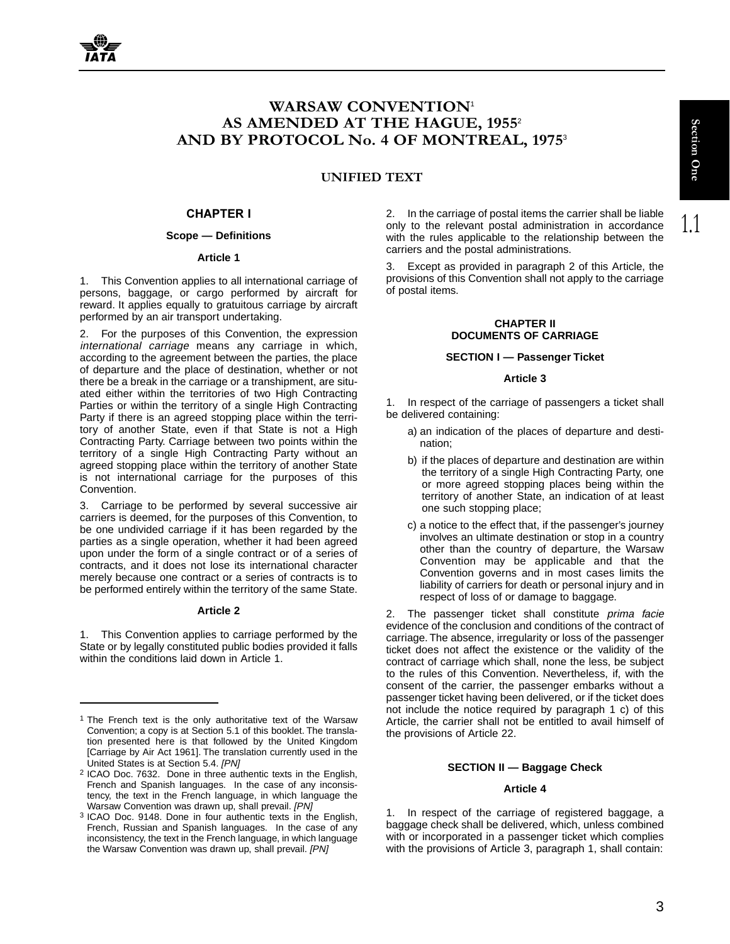**WARSAW CONVENTION**<sup>1</sup> **AS AMENDED AT THE HAGUE, 1955**<sup>2</sup> **AND BY PROTOCOL No. 4 OF MONTREAL, 1975**<sup>3</sup>

# **UNIFIED TEXT**

#### **CHAPTER I**

 $\mathbf{e}^{\hat{\mathbf{e}}\hat{\mathbf{e}}}$ 

#### **Scope — Definitions**

#### **Article 1**

1. This Convention applies to all international carriage of persons, baggage, or cargo performed by aircraft for reward. It applies equally to gratuitous carriage by aircraft performed by an air transport undertaking.

2. For the purposes of this Convention, the expression international carriage means any carriage in which, according to the agreement between the parties, the place of departure and the place of destination, whether or not there be a break in the carriage or a transhipment, are situated either within the territories of two High Contracting Parties or within the territory of a single High Contracting Party if there is an agreed stopping place within the territory of another State, even if that State is not a High Contracting Party. Carriage between two points within the territory of a single High Contracting Party without an agreed stopping place within the territory of another State is not international carriage for the purposes of this **Convention** 

3. Carriage to be performed by several successive air carriers is deemed, for the purposes of this Convention, to be one undivided carriage if it has been regarded by the parties as a single operation, whether it had been agreed upon under the form of a single contract or of a series of contracts, and it does not lose its international character merely because one contract or a series of contracts is to be performed entirely within the territory of the same State.

#### **Article 2**

1. This Convention applies to carriage performed by the State or by legally constituted public bodies provided it falls within the conditions laid down in Article 1.

2. In the carriage of postal items the carrier shall be liable only to the relevant postal administration in accordance with the rules applicable to the relationship between the carriers and the postal administrations.

3. Except as provided in paragraph 2 of this Article, the provisions of this Convention shall not apply to the carriage of postal items.

#### **CHAPTER II DOCUMENTS OF CARRIAGE**

#### **SECTION I — Passenger Ticket**

#### **Article 3**

1. In respect of the carriage of passengers a ticket shall be delivered containing:

- a) an indication of the places of departure and destination;
- b) if the places of departure and destination are within the territory of a single High Contracting Party, one or more agreed stopping places being within the territory of another State, an indication of at least one such stopping place;
- c) a notice to the effect that, if the passenger's journey involves an ultimate destination or stop in a country other than the country of departure, the Warsaw Convention may be applicable and that the Convention governs and in most cases limits the liability of carriers for death or personal injury and in respect of loss of or damage to baggage.

2. The passenger ticket shall constitute prima facie evidence of the conclusion and conditions of the contract of carriage. The absence, irregularity or loss of the passenger ticket does not affect the existence or the validity of the contract of carriage which shall, none the less, be subject to the rules of this Convention. Nevertheless, if, with the consent of the carrier, the passenger embarks without a passenger ticket having been delivered, or if the ticket does not include the notice required by paragraph 1 c) of this Article, the carrier shall not be entitled to avail himself of the provisions of Article 22.

#### **SECTION II — Baggage Check**

#### **Article 4**

1. In respect of the carriage of registered baggage, a baggage check shall be delivered, which, unless combined with or incorporated in a passenger ticket which complies with the provisions of Article 3, paragraph 1, shall contain:

<sup>&</sup>lt;sup>1</sup> The French text is the only authoritative text of the Warsaw Convention; a copy is at Section 5.1 of this booklet. The translation presented here is that followed by the United Kingdom [Carriage by Air Act 1961]. The translation currently used in the United States is at Section 5.4. [PN]

<sup>2</sup> ICAO Doc. 7632. Done in three authentic texts in the English, French and Spanish languages. In the case of any inconsistency, the text in the French language, in which language the Warsaw Convention was drawn up, shall prevail. [PN]

<sup>3</sup> ICAO Doc. 9148. Done in four authentic texts in the English, French, Russian and Spanish languages. In the case of any inconsistency, the text in the French language, in which language the Warsaw Convention was drawn up, shall prevail. [PN]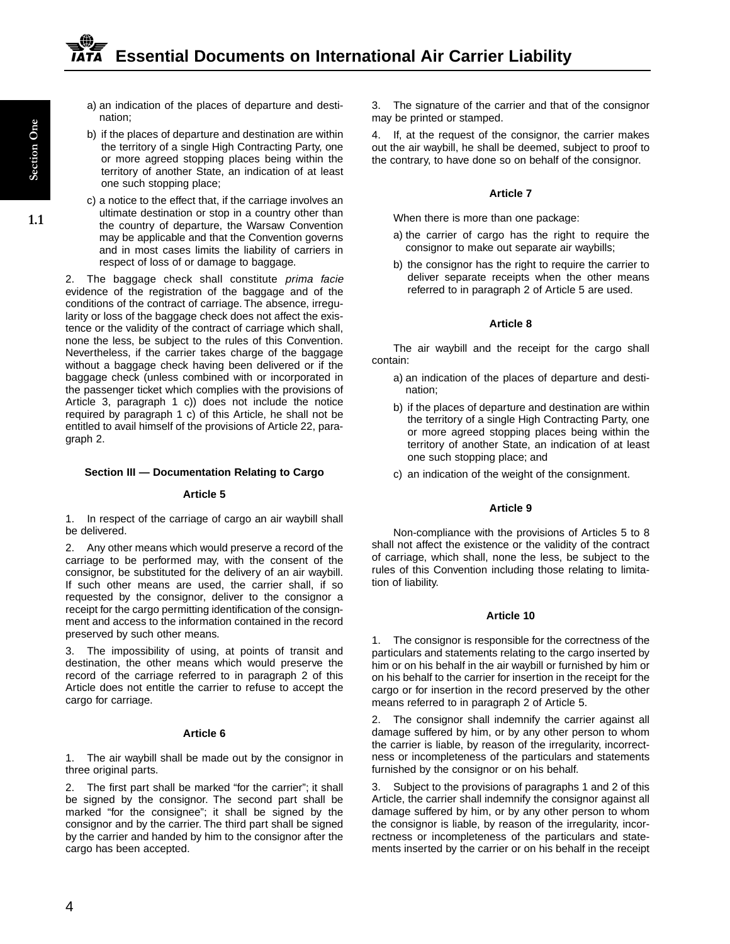- a) an indication of the places of departure and destination;
- b) if the places of departure and destination are within the territory of a single High Contracting Party, one or more agreed stopping places being within the territory of another State, an indication of at least one such stopping place;
- c) a notice to the effect that, if the carriage involves an ultimate destination or stop in a country other than the country of departure, the Warsaw Convention may be applicable and that the Convention governs and in most cases limits the liability of carriers in respect of loss of or damage to baggage.

2. The baggage check shall constitute prima facie evidence of the registration of the baggage and of the conditions of the contract of carriage. The absence, irregularity or loss of the baggage check does not affect the existence or the validity of the contract of carriage which shall, none the less, be subject to the rules of this Convention. Nevertheless, if the carrier takes charge of the baggage without a baggage check having been delivered or if the baggage check (unless combined with or incorporated in the passenger ticket which complies with the provisions of Article 3, paragraph 1 c)) does not include the notice required by paragraph 1 c) of this Article, he shall not be entitled to avail himself of the provisions of Article 22, paragraph 2.

## **Section III — Documentation Relating to Cargo**

#### **Article 5**

1. In respect of the carriage of cargo an air waybill shall be delivered.

2. Any other means which would preserve a record of the carriage to be performed may, with the consent of the consignor, be substituted for the delivery of an air waybill. If such other means are used, the carrier shall, if so requested by the consignor, deliver to the consignor a receipt for the cargo permitting identification of the consignment and access to the information contained in the record preserved by such other means.

3. The impossibility of using, at points of transit and destination, the other means which would preserve the record of the carriage referred to in paragraph 2 of this Article does not entitle the carrier to refuse to accept the cargo for carriage.

## **Article 6**

1. The air waybill shall be made out by the consignor in three original parts.

2. The first part shall be marked "for the carrier"; it shall be signed by the consignor. The second part shall be marked "for the consignee"; it shall be signed by the consignor and by the carrier. The third part shall be signed by the carrier and handed by him to the consignor after the cargo has been accepted.

3. The signature of the carrier and that of the consignor may be printed or stamped.

4. If, at the request of the consignor, the carrier makes out the air waybill, he shall be deemed, subject to proof to the contrary, to have done so on behalf of the consignor.

## **Article 7**

When there is more than one package:

- a) the carrier of cargo has the right to require the consignor to make out separate air waybills;
- b) the consignor has the right to require the carrier to deliver separate receipts when the other means referred to in paragraph 2 of Article 5 are used.

## **Article 8**

The air waybill and the receipt for the cargo shall contain:

- a) an indication of the places of departure and destination;
- b) if the places of departure and destination are within the territory of a single High Contracting Party, one or more agreed stopping places being within the territory of another State, an indication of at least one such stopping place; and
- c) an indication of the weight of the consignment.

## **Article 9**

Non-compliance with the provisions of Articles 5 to 8 shall not affect the existence or the validity of the contract of carriage, which shall, none the less, be subject to the rules of this Convention including those relating to limitation of liability.

## **Article 10**

1. The consignor is responsible for the correctness of the particulars and statements relating to the cargo inserted by him or on his behalf in the air waybill or furnished by him or on his behalf to the carrier for insertion in the receipt for the cargo or for insertion in the record preserved by the other means referred to in paragraph 2 of Article 5.

2. The consignor shall indemnify the carrier against all damage suffered by him, or by any other person to whom the carrier is liable, by reason of the irregularity, incorrectness or incompleteness of the particulars and statements furnished by the consignor or on his behalf.

3. Subject to the provisions of paragraphs 1 and 2 of this Article, the carrier shall indemnify the consignor against all damage suffered by him, or by any other person to whom the consignor is liable, by reason of the irregularity, incorrectness or incompleteness of the particulars and statements inserted by the carrier or on his behalf in the receipt

**1.1**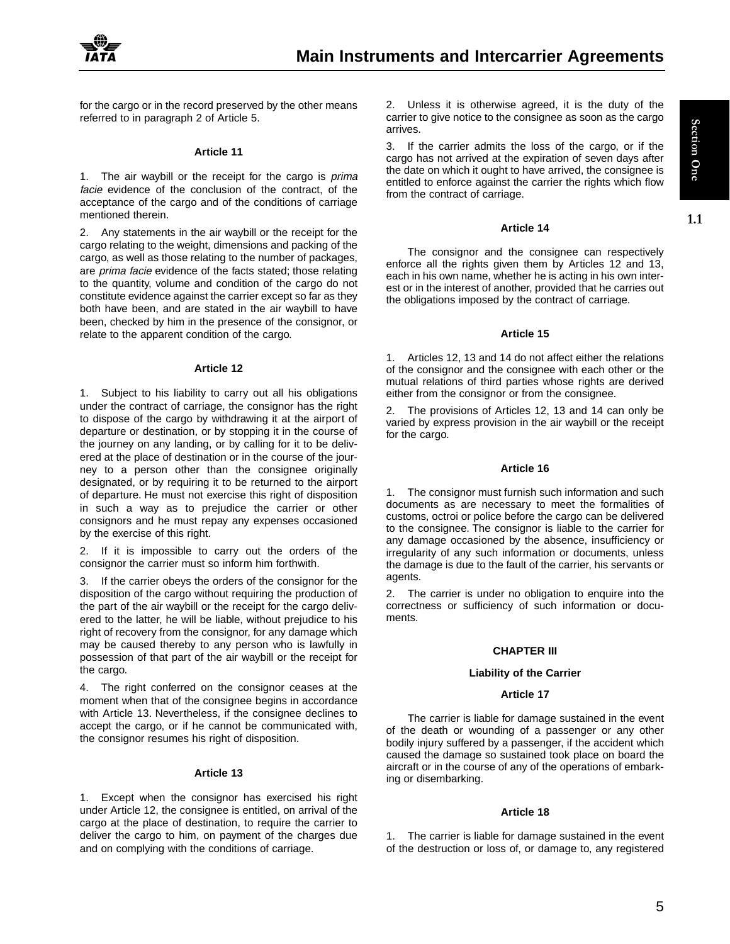

**1.1**

for the cargo or in the record preserved by the other means referred to in paragraph 2 of Article 5.

## **Article 11**

1. The air waybill or the receipt for the cargo is *prima* facie evidence of the conclusion of the contract, of the acceptance of the cargo and of the conditions of carriage mentioned therein.

2. Any statements in the air waybill or the receipt for the cargo relating to the weight, dimensions and packing of the cargo, as well as those relating to the number of packages, are *prima facie* evidence of the facts stated; those relating to the quantity, volume and condition of the cargo do not constitute evidence against the carrier except so far as they both have been, and are stated in the air waybill to have been, checked by him in the presence of the consignor, or relate to the apparent condition of the cargo.

## **Article 12**

1. Subject to his liability to carry out all his obligations under the contract of carriage, the consignor has the right to dispose of the cargo by withdrawing it at the airport of departure or destination, or by stopping it in the course of the journey on any landing, or by calling for it to be delivered at the place of destination or in the course of the journey to a person other than the consignee originally designated, or by requiring it to be returned to the airport of departure. He must not exercise this right of disposition in such a way as to prejudice the carrier or other consignors and he must repay any expenses occasioned by the exercise of this right.

2. If it is impossible to carry out the orders of the consignor the carrier must so inform him forthwith.

3. If the carrier obeys the orders of the consignor for the disposition of the cargo without requiring the production of the part of the air waybill or the receipt for the cargo delivered to the latter, he will be liable, without prejudice to his right of recovery from the consignor, for any damage which may be caused thereby to any person who is lawfully in possession of that part of the air waybill or the receipt for the cargo.

4. The right conferred on the consignor ceases at the moment when that of the consignee begins in accordance with Article 13. Nevertheless, if the consignee declines to accept the cargo, or if he cannot be communicated with, the consignor resumes his right of disposition.

# **Article 13**

1. Except when the consignor has exercised his right under Article 12, the consignee is entitled, on arrival of the cargo at the place of destination, to require the carrier to deliver the cargo to him, on payment of the charges due and on complying with the conditions of carriage.

2. Unless it is otherwise agreed, it is the duty of the carrier to give notice to the consignee as soon as the cargo arrives.

3. If the carrier admits the loss of the cargo, or if the cargo has not arrived at the expiration of seven days after the date on which it ought to have arrived, the consignee is entitled to enforce against the carrier the rights which flow from the contract of carriage.

## **Article 14**

The consignor and the consignee can respectively enforce all the rights given them by Articles 12 and 13, each in his own name, whether he is acting in his own interest or in the interest of another, provided that he carries out the obligations imposed by the contract of carriage.

# **Article 15**

1. Articles 12, 13 and 14 do not affect either the relations of the consignor and the consignee with each other or the mutual relations of third parties whose rights are derived either from the consignor or from the consignee.

2. The provisions of Articles 12, 13 and 14 can only be varied by express provision in the air waybill or the receipt for the cargo.

# **Article 16**

1. The consignor must furnish such information and such documents as are necessary to meet the formalities of customs, octroi or police before the cargo can be delivered to the consignee. The consignor is liable to the carrier for any damage occasioned by the absence, insufficiency or irregularity of any such information or documents, unless the damage is due to the fault of the carrier, his servants or agents.

2. The carrier is under no obligation to enquire into the correctness or sufficiency of such information or documents.

# **CHAPTER III**

# **Liability of the Carrier**

# **Article 17**

The carrier is liable for damage sustained in the event of the death or wounding of a passenger or any other bodily injury suffered by a passenger, if the accident which caused the damage so sustained took place on board the aircraft or in the course of any of the operations of embarking or disembarking.

# **Article 18**

The carrier is liable for damage sustained in the event of the destruction or loss of, or damage to, any registered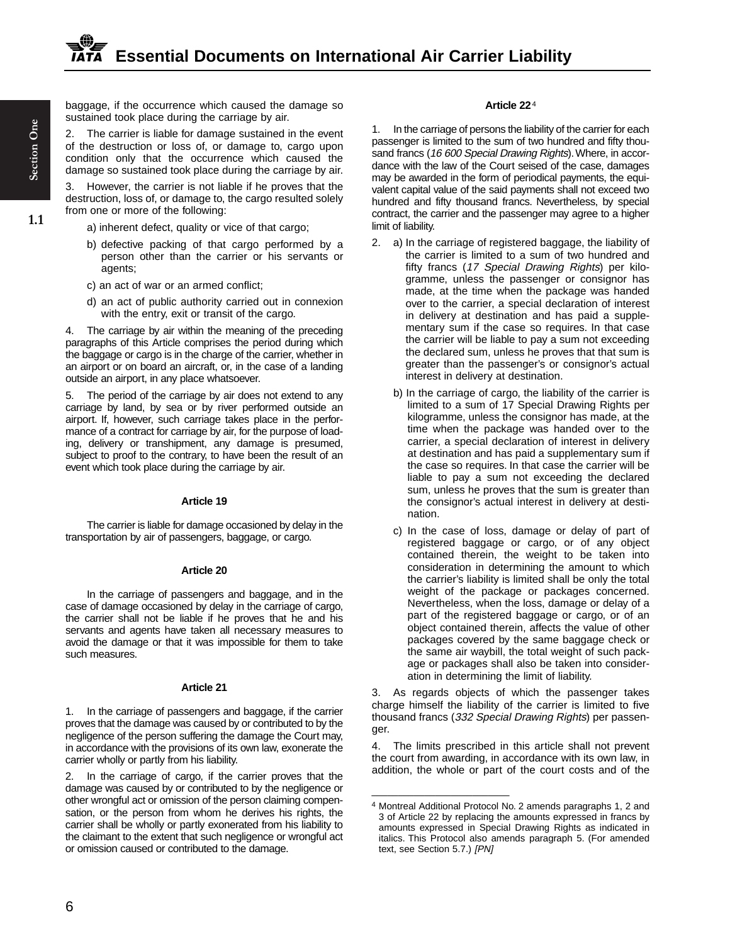**Section One Section One**

baggage, if the occurrence which caused the damage so sustained took place during the carriage by air.

2. The carrier is liable for damage sustained in the event of the destruction or loss of, or damage to, cargo upon condition only that the occurrence which caused the damage so sustained took place during the carriage by air.

However, the carrier is not liable if he proves that the destruction, loss of, or damage to, the cargo resulted solely from one or more of the following:

- a) inherent defect, quality or vice of that cargo;
- b) defective packing of that cargo performed by a person other than the carrier or his servants or agents;
- c) an act of war or an armed conflict;
- d) an act of public authority carried out in connexion with the entry, exit or transit of the cargo.

4. The carriage by air within the meaning of the preceding paragraphs of this Article comprises the period during which the baggage or cargo is in the charge of the carrier, whether in an airport or on board an aircraft, or, in the case of a landing outside an airport, in any place whatsoever.

The period of the carriage by air does not extend to any carriage by land, by sea or by river performed outside an airport. If, however, such carriage takes place in the performance of a contract for carriage by air, for the purpose of loading, delivery or transhipment, any damage is presumed, subject to proof to the contrary, to have been the result of an event which took place during the carriage by air.

## **Article 19**

The carrier is liable for damage occasioned by delay in the transportation by air of passengers, baggage, or cargo.

## **Article 20**

In the carriage of passengers and baggage, and in the case of damage occasioned by delay in the carriage of cargo, the carrier shall not be liable if he proves that he and his servants and agents have taken all necessary measures to avoid the damage or that it was impossible for them to take such measures.

## **Article 21**

1. In the carriage of passengers and baggage, if the carrier proves that the damage was caused by or contributed to by the negligence of the person suffering the damage the Court may, in accordance with the provisions of its own law, exonerate the carrier wholly or partly from his liability.

2. In the carriage of cargo, if the carrier proves that the damage was caused by or contributed to by the negligence or other wrongful act or omission of the person claiming compensation, or the person from whom he derives his rights, the carrier shall be wholly or partly exonerated from his liability to the claimant to the extent that such negligence or wrongful act or omission caused or contributed to the damage.

## **Article 22**<sup>4</sup>

1. In the carriage of persons the liability of the carrier for each passenger is limited to the sum of two hundred and fifty thousand francs (16 600 Special Drawing Rights). Where, in accordance with the law of the Court seised of the case, damages may be awarded in the form of periodical payments, the equivalent capital value of the said payments shall not exceed two hundred and fifty thousand francs. Nevertheless, by special contract, the carrier and the passenger may agree to a higher limit of liability.

- 2. a) In the carriage of registered baggage, the liability of the carrier is limited to a sum of two hundred and fifty francs (17 Special Drawing Rights) per kilogramme, unless the passenger or consignor has made, at the time when the package was handed over to the carrier, a special declaration of interest in delivery at destination and has paid a supplementary sum if the case so requires. In that case the carrier will be liable to pay a sum not exceeding the declared sum, unless he proves that that sum is greater than the passenger's or consignor's actual interest in delivery at destination.
	- b) In the carriage of cargo, the liability of the carrier is limited to a sum of 17 Special Drawing Rights per kilogramme, unless the consignor has made, at the time when the package was handed over to the carrier, a special declaration of interest in delivery at destination and has paid a supplementary sum if the case so requires. In that case the carrier will be liable to pay a sum not exceeding the declared sum, unless he proves that the sum is greater than the consignor's actual interest in delivery at destination.
	- c) In the case of loss, damage or delay of part of registered baggage or cargo, or of any object contained therein, the weight to be taken into consideration in determining the amount to which the carrier's liability is limited shall be only the total weight of the package or packages concerned. Nevertheless, when the loss, damage or delay of a part of the registered baggage or cargo, or of an object contained therein, affects the value of other packages covered by the same baggage check or the same air waybill, the total weight of such package or packages shall also be taken into consideration in determining the limit of liability.

3. As regards objects of which the passenger takes charge himself the liability of the carrier is limited to five thousand francs (332 Special Drawing Rights) per passenger.

4. The limits prescribed in this article shall not prevent the court from awarding, in accordance with its own law, in addition, the whole or part of the court costs and of the

\_\_\_\_\_\_\_\_\_\_\_\_\_\_\_\_\_\_\_\_\_\_\_\_\_\_

<sup>4</sup> Montreal Additional Protocol No. 2 amends paragraphs 1, 2 and 3 of Article 22 by replacing the amounts expressed in francs by amounts expressed in Special Drawing Rights as indicated in italics. This Protocol also amends paragraph 5. (For amended text, see Section 5.7.) [PN]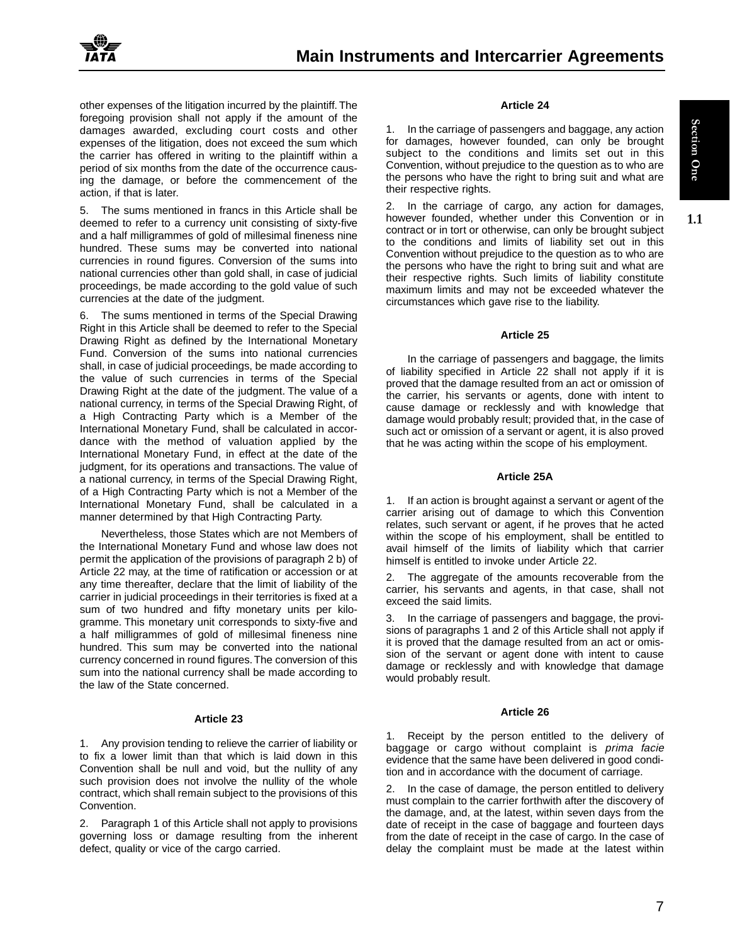other expenses of the litigation incurred by the plaintiff. The foregoing provision shall not apply if the amount of the damages awarded, excluding court costs and other expenses of the litigation, does not exceed the sum which the carrier has offered in writing to the plaintiff within a period of six months from the date of the occurrence causing the damage, or before the commencement of the action, if that is later.

5. The sums mentioned in francs in this Article shall be deemed to refer to a currency unit consisting of sixty-five and a half milligrammes of gold of millesimal fineness nine hundred. These sums may be converted into national currencies in round figures. Conversion of the sums into national currencies other than gold shall, in case of judicial proceedings, be made according to the gold value of such currencies at the date of the judgment.

6. The sums mentioned in terms of the Special Drawing Right in this Article shall be deemed to refer to the Special Drawing Right as defined by the International Monetary Fund. Conversion of the sums into national currencies shall, in case of judicial proceedings, be made according to the value of such currencies in terms of the Special Drawing Right at the date of the judgment. The value of a national currency, in terms of the Special Drawing Right, of a High Contracting Party which is a Member of the International Monetary Fund, shall be calculated in accordance with the method of valuation applied by the International Monetary Fund, in effect at the date of the judgment, for its operations and transactions. The value of a national currency, in terms of the Special Drawing Right, of a High Contracting Party which is not a Member of the International Monetary Fund, shall be calculated in a manner determined by that High Contracting Party.

Nevertheless, those States which are not Members of the International Monetary Fund and whose law does not permit the application of the provisions of paragraph 2 b) of Article 22 may, at the time of ratification or accession or at any time thereafter, declare that the limit of liability of the carrier in judicial proceedings in their territories is fixed at a sum of two hundred and fifty monetary units per kilogramme. This monetary unit corresponds to sixty-five and a half milligrammes of gold of millesimal fineness nine hundred. This sum may be converted into the national currency concerned in round figures.The conversion of this sum into the national currency shall be made according to the law of the State concerned.

## **Article 23**

1. Any provision tending to relieve the carrier of liability or to fix a lower limit than that which is laid down in this Convention shall be null and void, but the nullity of any such provision does not involve the nullity of the whole contract, which shall remain subject to the provisions of this Convention.

2. Paragraph 1 of this Article shall not apply to provisions governing loss or damage resulting from the inherent defect, quality or vice of the cargo carried.

## **Article 24**

1. In the carriage of passengers and baggage, any action for damages, however founded, can only be brought subject to the conditions and limits set out in this Convention, without prejudice to the question as to who are the persons who have the right to bring suit and what are their respective rights.

2. In the carriage of cargo, any action for damages, however founded, whether under this Convention or in contract or in tort or otherwise, can only be brought subject to the conditions and limits of liability set out in this Convention without prejudice to the question as to who are the persons who have the right to bring suit and what are their respective rights. Such limits of liability constitute maximum limits and may not be exceeded whatever the circumstances which gave rise to the liability.

#### **Article 25**

In the carriage of passengers and baggage, the limits of liability specified in Article 22 shall not apply if it is proved that the damage resulted from an act or omission of the carrier, his servants or agents, done with intent to cause damage or recklessly and with knowledge that damage would probably result; provided that, in the case of such act or omission of a servant or agent, it is also proved that he was acting within the scope of his employment.

#### **Article 25A**

1. If an action is brought against a servant or agent of the carrier arising out of damage to which this Convention relates, such servant or agent, if he proves that he acted within the scope of his employment, shall be entitled to avail himself of the limits of liability which that carrier himself is entitled to invoke under Article 22.

2. The aggregate of the amounts recoverable from the carrier, his servants and agents, in that case, shall not exceed the said limits.

3. In the carriage of passengers and baggage, the provisions of paragraphs 1 and 2 of this Article shall not apply if it is proved that the damage resulted from an act or omission of the servant or agent done with intent to cause damage or recklessly and with knowledge that damage would probably result.

#### **Article 26**

1. Receipt by the person entitled to the delivery of baggage or cargo without complaint is prima facie evidence that the same have been delivered in good condition and in accordance with the document of carriage.

2. In the case of damage, the person entitled to delivery must complain to the carrier forthwith after the discovery of the damage, and, at the latest, within seven days from the date of receipt in the case of baggage and fourteen days from the date of receipt in the case of cargo. In the case of delay the complaint must be made at the latest within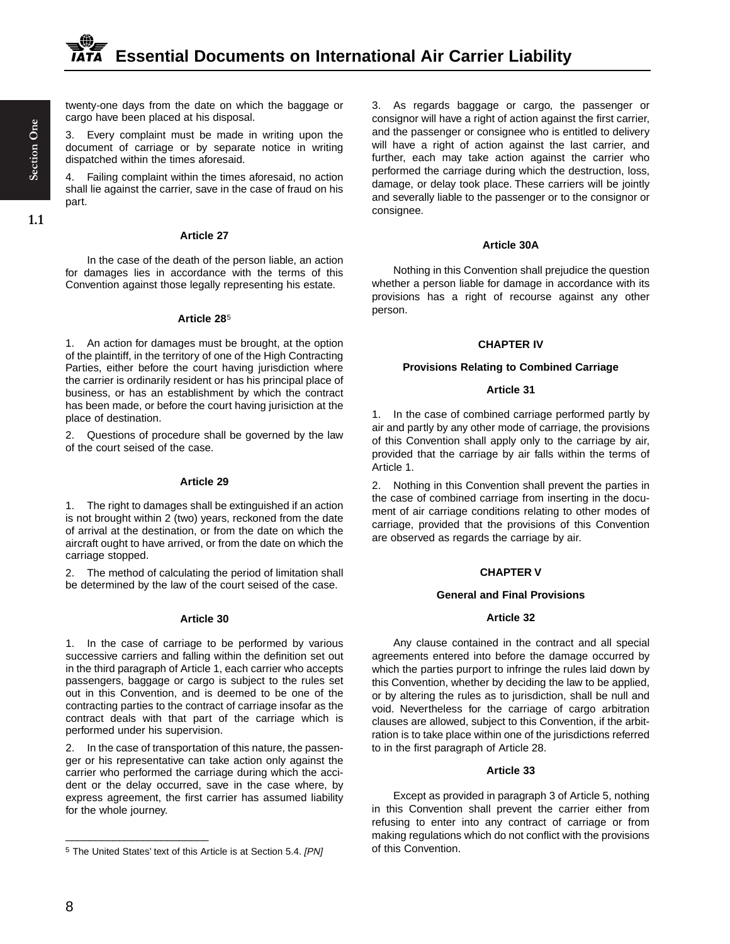**Section One Section One**

**1.1**

twenty-one days from the date on which the baggage or cargo have been placed at his disposal.

3. Every complaint must be made in writing upon the document of carriage or by separate notice in writing dispatched within the times aforesaid.

4. Failing complaint within the times aforesaid, no action shall lie against the carrier, save in the case of fraud on his part.

## **Article 27**

In the case of the death of the person liable, an action for damages lies in accordance with the terms of this Convention against those legally representing his estate.

#### **Article 28**<sup>5</sup>

1. An action for damages must be brought, at the option of the plaintiff, in the territory of one of the High Contracting Parties, either before the court having jurisdiction where the carrier is ordinarily resident or has his principal place of business, or has an establishment by which the contract has been made, or before the court having jurisiction at the place of destination.

2. Questions of procedure shall be governed by the law of the court seised of the case.

## **Article 29**

1. The right to damages shall be extinguished if an action is not brought within 2 (two) years, reckoned from the date of arrival at the destination, or from the date on which the aircraft ought to have arrived, or from the date on which the carriage stopped.

2. The method of calculating the period of limitation shall be determined by the law of the court seised of the case.

## **Article 30**

1. In the case of carriage to be performed by various successive carriers and falling within the definition set out in the third paragraph of Article 1, each carrier who accepts passengers, baggage or cargo is subject to the rules set out in this Convention, and is deemed to be one of the contracting parties to the contract of carriage insofar as the contract deals with that part of the carriage which is performed under his supervision.

2. In the case of transportation of this nature, the passenger or his representative can take action only against the carrier who performed the carriage during which the accident or the delay occurred, save in the case where, by express agreement, the first carrier has assumed liability for the whole journey.

\_\_\_\_\_\_\_\_\_\_\_\_\_\_\_\_\_\_\_\_\_\_\_\_

3. As regards baggage or cargo, the passenger or consignor will have a right of action against the first carrier, and the passenger or consignee who is entitled to delivery will have a right of action against the last carrier, and further, each may take action against the carrier who performed the carriage during which the destruction, loss, damage, or delay took place. These carriers will be jointly and severally liable to the passenger or to the consignor or consignee.

## **Article 30A**

Nothing in this Convention shall prejudice the question whether a person liable for damage in accordance with its provisions has a right of recourse against any other person.

## **CHAPTER IV**

## **Provisions Relating to Combined Carriage**

## **Article 31**

1. In the case of combined carriage performed partly by air and partly by any other mode of carriage, the provisions of this Convention shall apply only to the carriage by air, provided that the carriage by air falls within the terms of Article 1.

2. Nothing in this Convention shall prevent the parties in the case of combined carriage from inserting in the document of air carriage conditions relating to other modes of carriage, provided that the provisions of this Convention are observed as regards the carriage by air.

## **CHAPTER V**

## **General and Final Provisions**

## **Article 32**

Any clause contained in the contract and all special agreements entered into before the damage occurred by which the parties purport to infringe the rules laid down by this Convention, whether by deciding the law to be applied, or by altering the rules as to jurisdiction, shall be null and void. Nevertheless for the carriage of cargo arbitration clauses are allowed, subject to this Convention, if the arbitration is to take place within one of the jurisdictions referred to in the first paragraph of Article 28.

#### **Article 33**

Except as provided in paragraph 3 of Article 5, nothing in this Convention shall prevent the carrier either from refusing to enter into any contract of carriage or from making regulations which do not conflict with the provisions of this Convention.

<sup>5</sup> The United States' text of this Article is at Section 5.4. [PN]